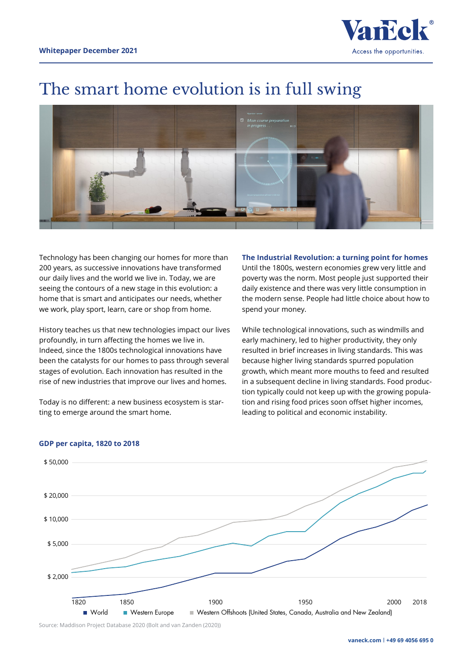

# The smart home evolution is in full swing



Technology has been changing our homes for more than 200 years, as successive innovations have transformed our daily lives and the world we live in. Today, we are seeing the contours of a new stage in this evolution: a home that is smart and anticipates our needs, whether we work, play sport, learn, care or shop from home.

History teaches us that new technologies impact our lives profoundly, in turn affecting the homes we live in. Indeed, since the 1800s technological innovations have been the catalysts for our homes to pass through several stages of evolution. Each innovation has resulted in the rise of new industries that improve our lives and homes.

Today is no different: a new business ecosystem is starting to emerge around the smart home.

**The Industrial Revolution: a turning point for homes**  Until the 1800s, western economies grew very little and poverty was the norm. Most people just supported their daily existence and there was very little consumption in the modern sense. People had little choice about how to spend your money.

While technological innovations, such as windmills and early machinery, led to higher productivity, they only resulted in brief increases in living standards. This was because higher living standards spurred population growth, which meant more mouths to feed and resulted in a subsequent decline in living standards. Food production typically could not keep up with the growing population and rising food prices soon offset higher incomes, leading to political and economic instability.



## **GDP per capita, 1820 to 2018**

Source: Maddison Project Database 2020 (Bolt and van Zanden (2020))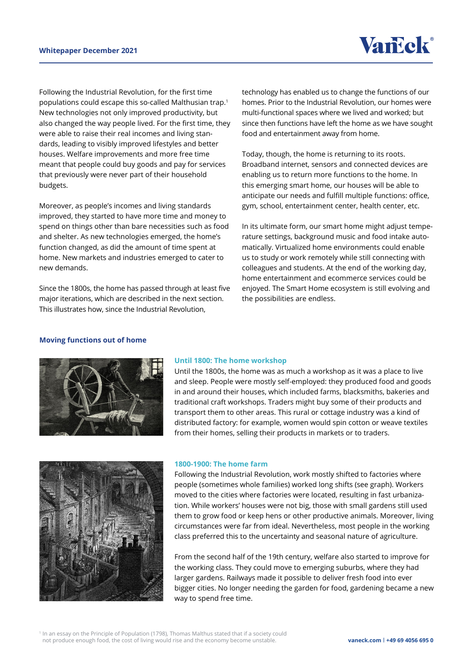Following the Industrial Revolution, for the first time populations could escape this so-called Malthusian trap.1 New technologies not only improved productivity, but also changed the way people lived. For the first time, they were able to raise their real incomes and living standards, leading to visibly improved lifestyles and better houses. Welfare improvements and more free time meant that people could buy goods and pay for services that previously were never part of their household budgets.

Moreover, as people's incomes and living standards improved, they started to have more time and money to spend on things other than bare necessities such as food and shelter. As new technologies emerged, the home's function changed, as did the amount of time spent at home. New markets and industries emerged to cater to new demands.

Since the 1800s, the home has passed through at least five major iterations, which are described in the next section. This illustrates how, since the Industrial Revolution,

technology has enabled us to change the functions of our homes. Prior to the Industrial Revolution, our homes were multi-functional spaces where we lived and worked; but since then functions have left the home as we have sought food and entertainment away from home.

Today, though, the home is returning to its roots. Broadband internet, sensors and connected devices are enabling us to return more functions to the home. In this emerging smart home, our houses will be able to anticipate our needs and fulfill multiple functions: office, gym, school, entertainment center, health center, etc.

In its ultimate form, our smart home might adjust temperature settings, background music and food intake automatically. Virtualized home environments could enable us to study or work remotely while still connecting with colleagues and students. At the end of the working day, home entertainment and ecommerce services could be enjoyed. The Smart Home ecosystem is still evolving and the possibilities are endless.

## **Moving functions out of home**



#### **Until 1800: The home workshop**

Until the 1800s, the home was as much a workshop as it was a place to live and sleep. People were mostly self-employed: they produced food and goods in and around their houses, which included farms, blacksmiths, bakeries and traditional craft workshops. Traders might buy some of their products and transport them to other areas. This rural or cottage industry was a kind of distributed factory: for example, women would spin cotton or weave textiles from their homes, selling their products in markets or to traders.



#### **1800-1900: The home farm**

Following the Industrial Revolution, work mostly shifted to factories where people (sometimes whole families) worked long shifts (see graph). Workers moved to the cities where factories were located, resulting in fast urbanization. While workers' houses were not big, those with small gardens still used them to grow food or keep hens or other productive animals. Moreover, living circumstances were far from ideal. Nevertheless, most people in the working class preferred this to the uncertainty and seasonal nature of agriculture.

From the second half of the 19th century, welfare also started to improve for the working class. They could move to emerging suburbs, where they had larger gardens. Railways made it possible to deliver fresh food into ever bigger cities. No longer needing the garden for food, gardening became a new way to spend free time.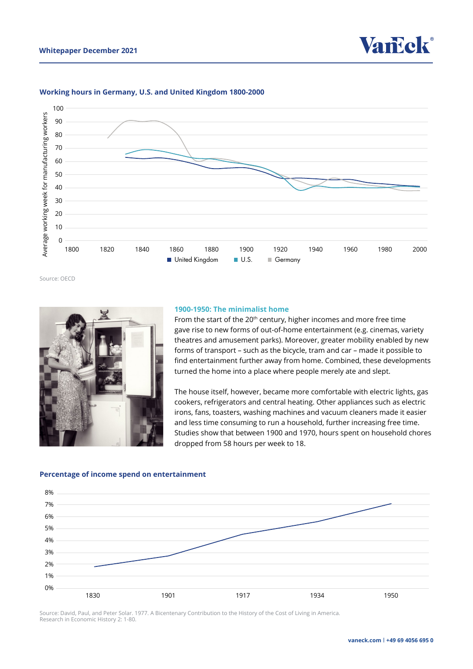



#### **Working hours in Germany, U.S. and United Kingdom 1800-2000**

Source: OECD



#### **1900-1950: The minimalist home**

From the start of the 20<sup>th</sup> century, higher incomes and more free time gave rise to new forms of out-of-home entertainment (e.g. cinemas, variety theatres and amusement parks). Moreover, greater mobility enabled by new forms of transport – such as the bicycle, tram and car – made it possible to find entertainment further away from home. Combined, these developments turned the home into a place where people merely ate and slept.

The house itself, however, became more comfortable with electric lights, gas cookers, refrigerators and central heating. Other appliances such as electric irons, fans, toasters, washing machines and vacuum cleaners made it easier and less time consuming to run a household, further increasing free time. Studies show that between 1900 and 1970, hours spent on household chores dropped from 58 hours per week to 18.

#### **Percentage of income spend on entertainment**



Source: David, Paul, and Peter Solar. 1977. A Bicentenary Contribution to the History of the Cost of Living in America. Research in Economic History 2: 1-80.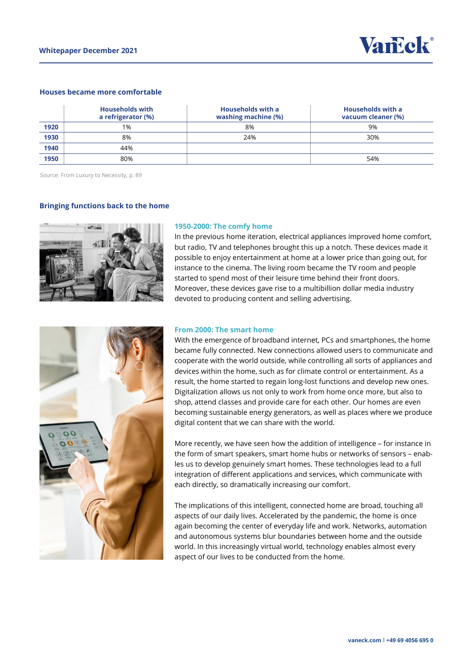

### **Houses became more comfortable**

|      | <b>Households with</b><br>a refrigerator (%) | <b>Households with a</b><br>washing machine (%) | <b>Households with a</b><br>vacuum cleaner (%) |
|------|----------------------------------------------|-------------------------------------------------|------------------------------------------------|
| 1920 | 1%                                           | 8%                                              | 9%                                             |
| 1930 | 8%                                           | 24%                                             | 30%                                            |
| 1940 | 44%                                          |                                                 |                                                |
| 1950 | 80%                                          |                                                 | 54%                                            |

Source: From Luxury to Necessity, p. 89

#### **Bringing functions back to the home**



#### **1950-2000: The comfy home**

In the previous home iteration, electrical appliances improved home comfort, but radio, TV and telephones brought this up a notch. These devices made it possible to enjoy entertainment at home at a lower price than going out, for instance to the cinema. The living room became the TV room and people started to spend most of their leisure time behind their front doors. Moreover, these devices gave rise to a multibillion dollar media industry devoted to producing content and selling advertising.



#### **From 2000: The smart home**

With the emergence of broadband internet, PCs and smartphones, the home became fully connected. New connections allowed users to communicate and cooperate with the world outside, while controlling all sorts of appliances and devices within the home, such as for climate control or entertainment. As a result, the home started to regain long-lost functions and develop new ones. Digitalization allows us not only to work from home once more, but also to shop, attend classes and provide care for each other. Our homes are even becoming sustainable energy generators, as well as places where we produce digital content that we can share with the world.

More recently, we have seen how the addition of intelligence – for instance in the form of smart speakers, smart home hubs or networks of sensors – enables us to develop genuinely smart homes. These technologies lead to a full integration of different applications and services, which communicate with each directly, so dramatically increasing our comfort.

The implications of this intelligent, connected home are broad, touching all aspects of our daily lives. Accelerated by the pandemic, the home is once again becoming the center of everyday life and work. Networks, automation and autonomous systems blur boundaries between home and the outside world. In this increasingly virtual world, technology enables almost every aspect of our lives to be conducted from the home.